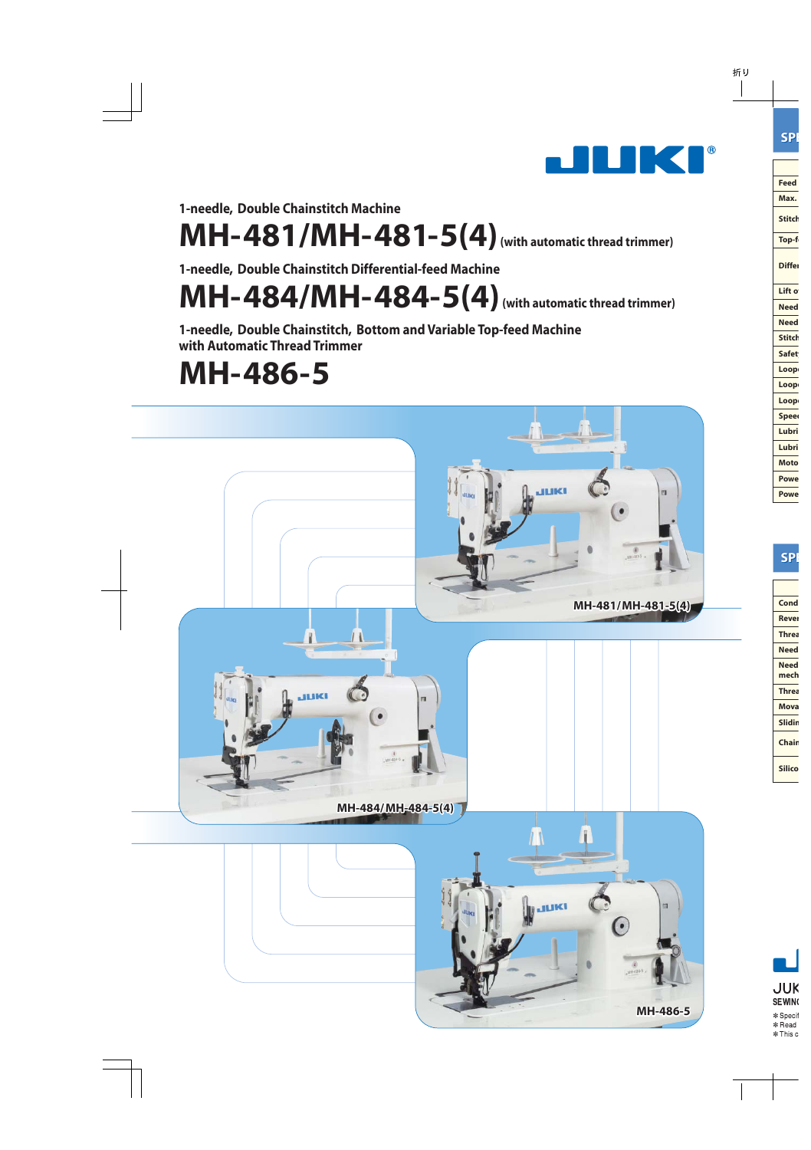

1-needle, Double Chainstitch Machine

# MH-481/MH-481-5(4) (with automatic thread trimmer)

1-needle, Double Chainstitch Differential-feed Machine

 $MH-484/MH-484-5(4)$  (with automatic thread trimmer)

1-needle, Double Chainstitch, Bottom and Variable Top-feed Machine with Automatic Thread Trimmer

# MH-486-5

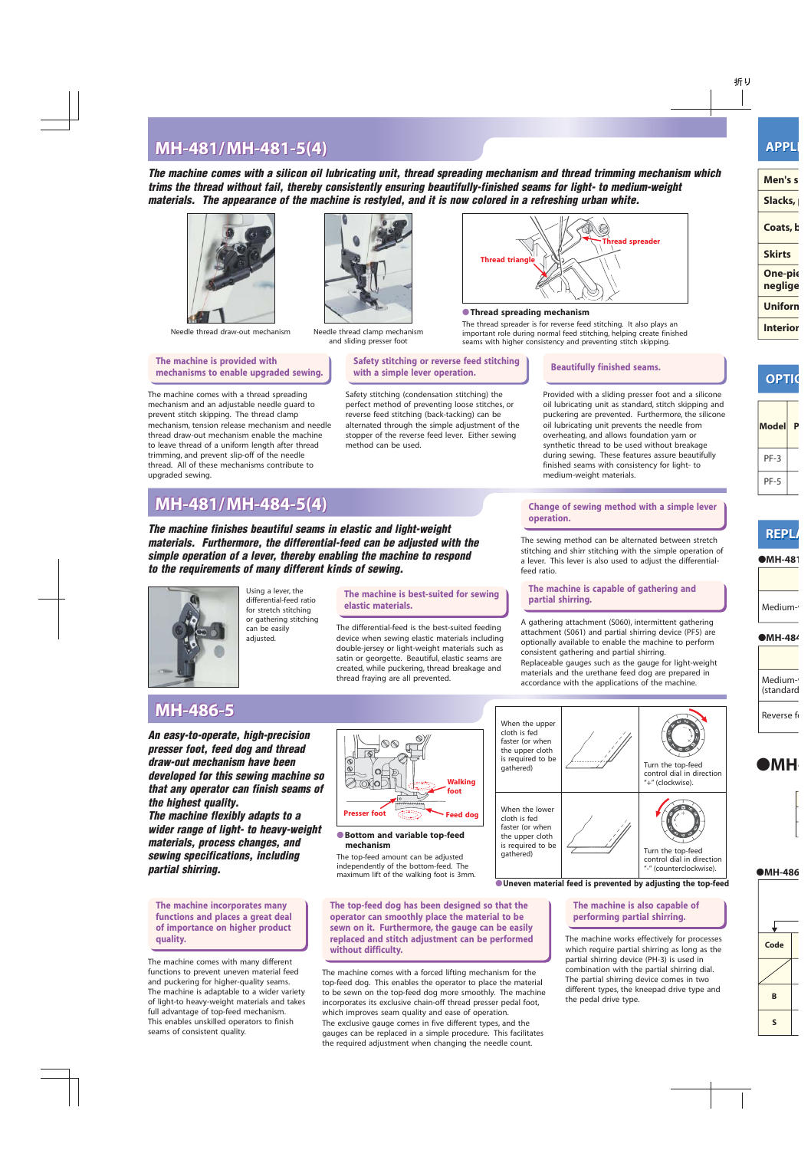## **MH-481/MH-481-5(4) MH-481/MH-481-5(4) MH-481/MH-481-5(4) APPL APPLI**

**The machine comes with a silicon oil lubricating unit, thread spreading mechanism and thread trimming mechanism which trims the thread without fail, thereby consistently ensuring beautifully-finished seams for light- to medium-weight materials. The appearance of the machine is restyled, and it is now colored in a refreshing urban white.**



Needle thread draw-out mechanism Needle thread clamp mechanism

#### **The machine is provided with mechanisms to enable upgraded sewing.**

The machine comes with a thread spreading mechanism and an adjustable needle guard to prevent stitch skipping. The thread clamp mechanism, tension release mechanism and needle thread draw-out mechanism enable the machine to leave thread of a uniform length after thread trimming, and prevent slip-off of the needle thread. All of these mechanisms contribute to upgraded sewing.



and sliding presser foot

**Safety stitching or reverse feed stitching with a simple lever operation.**

Safety stitching (condensation stitching) the perfect method of preventing loose stitches, or reverse feed stitching (back-tacking) can be alternated through the simple adjustment of the stopper of the reverse feed lever. Either sewing method can be used.



#### ●**Thread spreading mechanism**

The thread spreader is for reverse feed stitching. It also plays an important role during normal feed stitching, helping create finished seams with higher consistency and preventing stitch skipping.

#### **Beautifully finished seams.**

Provided with a sliding presser foot and a silicone oil lubricating unit as standard, stitch skipping and puckering are prevented. Furthermore, the silicone oil lubricating unit prevents the needle from overheating, and allows foundation yarn or synthetic thread to be used without breakage during sewing. These features assure beautifully finished seams with consistency for light- to medium-weight materials.

## **MH-481/MH-484-5(4) MH-481/MH-484-5(4) MH-481/MH-484-5(4)**

**The machine finishes beautiful seams in elastic and light-weight materials. Furthermore, the differential-feed can be adjusted with the simple operation of a lever, thereby enabling the machine to respond to the requirements of many different kinds of sewing.**



Using a lever, the differential-feed ratio for stretch stitching or gathering stitching can be easily adjusted.

**The machine is best-suited for sewing elastic materials.**

The differential-feed is the best-suited feeding device when sewing elastic materials including double-jersey or light-weight materials such as satin or georgette. Beautiful, elastic seams are created, while puckering, thread breakage and thread fraying are all prevented.

**Change of sewing method with a simple lever operation.**

The sewing method can be alternated between stretch stitching and shirr stitching with the simple operation of a lever. This lever is also used to adjust the differentialfeed ratio.

**The machine is capable of gathering and partial shirring.**

A gathering attachment (S060), intermittent gathering attachment (S061) and partial shirring device (PF5) are optionally available to enable the machine to perform consistent gathering and partial shirring. Replaceable gauges such as the gauge for light-weight materials and the urethane feed dog are prepared in accordance with the applications of the machine.

# **MH-486-5 MH-486-5 MH-486-5**

**An easy-to-operate, high-precision presser foot, feed dog and thread draw-out mechanism have been developed for this sewing machine so that any operator can finish seams of the highest quality. The machine flexibly adapts to a wider range of light- to heavy-weight materials, process changes, and sewing specifications, including partial shirring.**

**The machine incorporates many functions and places a great deal of importance on higher product quality.**

The machine comes with many different functions to prevent uneven material feed and puckering for higher-quality seams. The machine is adaptable to a wider variety of light-to heavy-weight materials and takes full advantage of top-feed mechanism. This enables unskilled operators to finish seams of consistent quality.



●**Bottom and variable top-feed mechanism**

The top-feed amount can be adjusted independently of the bottom-feed. The

maximum lift of the walking foot is 3mm.

**The top-feed dog has been designed so that the operator can smoothly place the material to be sewn on it. Furthermore, the gauge can be easily replaced and stitch adjustment can be performed without difficulty.**

The machine comes with a forced lifting mechanism for the top-feed dog. This enables the operator to place the material to be sewn on the top-feed dog more smoothly. The machine incorporates its exclusive chain-off thread presser pedal foot, which improves seam quality and ease of operation. The exclusive gauge comes in five different types, and the gauges can be replaced in a simple procedure. This facilitates the required adjustment when changing the needle count.



●**Uneven material feed is prevented by adjusting the top-feed**

#### **The machine is also capable of performing partial shirring.**

The machine works effectively for processes which require partial shirring as long as the partial shirring device (PH-3) is used in combination with the partial shirring dial. The partial shirring device comes in two different types, the kneepad drive type and the pedal drive type.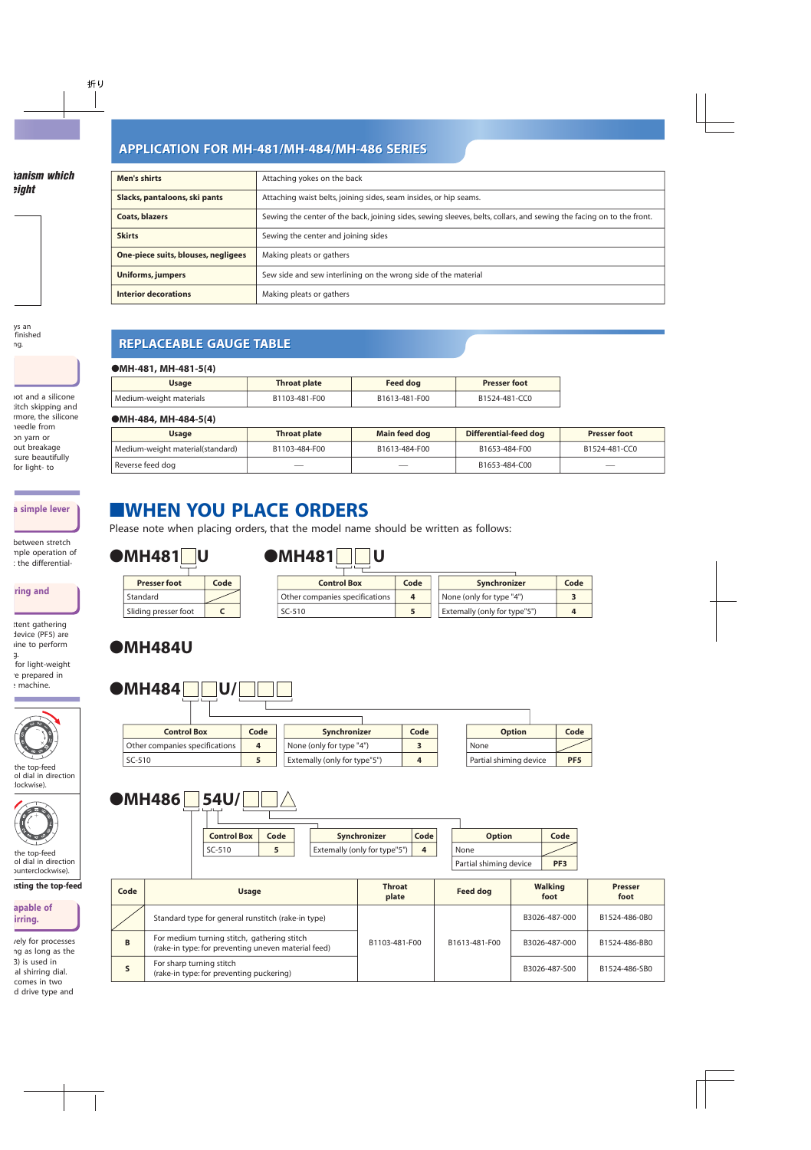### **APPLICATION FOR MH-481/MH-484/MH-486 SERIES APPLICATION FOR MH-481/MH-484/MH-486 SERIES APPLICATION FOR MH-481/MH-484/MH-486 SERIES**

| Men's shirts                        | Attaching yokes on the back                                                                                          |
|-------------------------------------|----------------------------------------------------------------------------------------------------------------------|
| Slacks, pantaloons, ski pants       | Attaching waist belts, joining sides, seam insides, or hip seams.                                                    |
| <b>Coats, blazers</b>               | Sewing the center of the back, joining sides, sewing sleeves, belts, collars, and sewing the facing on to the front. |
| <b>Skirts</b>                       | Sewing the center and joining sides                                                                                  |
| One-piece suits, blouses, negligees | Making pleats or gathers                                                                                             |
| Uniforms, jumpers                   | Sew side and sew interlining on the wrong side of the material                                                       |
| <b>Interior decorations</b>         | Making pleats or gathers                                                                                             |

## **REPLACEABLE GAUGE TABLE REPLACEABLE GAUGE TABLE REPLACEABLE GAUGE TABLE**

| $\bullet$ MH-481, MH-481-5(4) |                     |                 |                     |
|-------------------------------|---------------------|-----------------|---------------------|
| <b>Usage</b>                  | <b>Throat plate</b> | <b>Feed dog</b> | <b>Presser foot</b> |
| Medium-weight materials       | B1103-481-F00       | B1613-481-F00   | B1524-481-CC0       |

#### ●**MH-484, MH-484-5(4)**

| <b>Usage</b>                     | <b>Throat plate</b> | Main feed dog | Differential-feed dog | <b>Presser foot</b> |
|----------------------------------|---------------------|---------------|-----------------------|---------------------|
| Medium-weight material(standard) | B1103-484-F00       | B1613-484-F00 | B1653-484-F00         | B1524-481-CC0       |
| Reverse feed dog                 |                     |               | B1653-484-C00         |                     |

# ■**WHEN YOU PLACE ORDERS**

Please note when placing orders, that the model name should be written as follows:

|  | $\bigcirc$ MH481 $\bigcirc$ U |  |  |
|--|-------------------------------|--|--|
|  |                               |  |  |

|  |  | $\blacksquare$ MH481 $\blacksquare$ |  |
|--|--|-------------------------------------|--|
|  |  |                                     |  |

| <b>Presser foot</b>  | Code |
|----------------------|------|
| Standard             |      |
| Sliding presser foot |      |

●**MH484** U/

| <b>Control Box</b>             | Code | Synchronizer                 | Code |
|--------------------------------|------|------------------------------|------|
| Other companies specifications |      | None (only for type "4")     |      |
| $SC-510$                       |      | Extemally (only for type"5") |      |

**Code** 

# ●**MH484U**

| <b>Control Box</b>             | Code | Synchronizer                 | Code |      | <b>Option</b>          | Code            |
|--------------------------------|------|------------------------------|------|------|------------------------|-----------------|
| Other companies specifications | 4    | None (only for type "4")     |      | None |                        |                 |
| SC-510                         |      | Extemally (only for type"5") |      |      | Partial shiming device | PF <sub>5</sub> |

| $\bullet$ MH486 | <b>54U/</b>        |      |                              |      |      |               |
|-----------------|--------------------|------|------------------------------|------|------|---------------|
|                 | <b>Control Box</b> | Code | Synchronizer                 | Code |      | <b>Option</b> |
|                 | SC-510             |      | Extemally (only for type"5") | 4    | None |               |

|      |                                                                                                    |  |                        | Partial shiming device | PF <sub>3</sub>        |                        |
|------|----------------------------------------------------------------------------------------------------|--|------------------------|------------------------|------------------------|------------------------|
| Code | <b>Usage</b>                                                                                       |  | <b>Throat</b><br>plate | <b>Feed dog</b>        | <b>Walking</b><br>foot | <b>Presser</b><br>foot |
|      | Standard type for general runstitch (rake-in type)                                                 |  |                        |                        | B3026-487-000          | B1524-486-0B0          |
| B    | For medium turning stitch, gathering stitch<br>(rake-in type: for preventing uneven material feed) |  | B1103-481-F00          | B1613-481-F00          | B3026-487-000          | B1524-486-BB0          |
|      | For sharp turning stitch<br>(rake-in type: for preventing puckering)                               |  |                        |                        | B3026-487-S00          | B1524-486-SB0          |